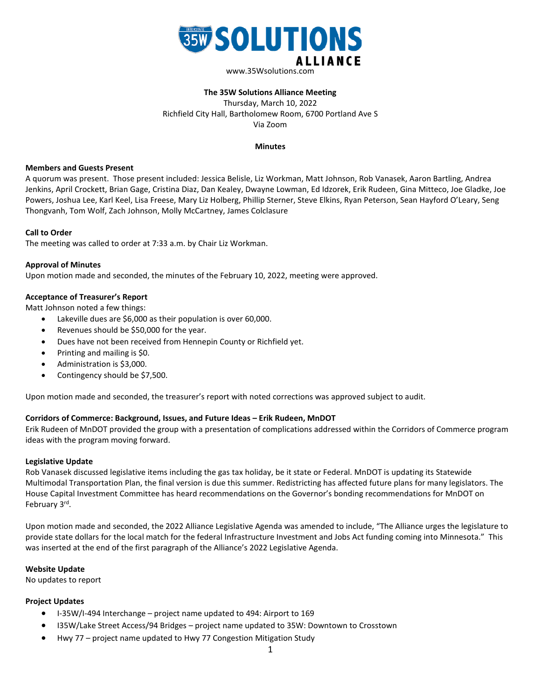

# **The 35W Solutions Alliance Meeting**

Thursday, March 10, 2022 Richfield City Hall, Bartholomew Room, 6700 Portland Ave S Via Zoom

#### **Minutes**

#### **Members and Guests Present**

A quorum was present. Those present included: Jessica Belisle, Liz Workman, Matt Johnson, Rob Vanasek, Aaron Bartling, Andrea Jenkins, April Crockett, Brian Gage, Cristina Diaz, Dan Kealey, Dwayne Lowman, Ed Idzorek, Erik Rudeen, Gina Mitteco, Joe Gladke, Joe Powers, Joshua Lee, Karl Keel, Lisa Freese, Mary Liz Holberg, Phillip Sterner, Steve Elkins, Ryan Peterson, Sean Hayford O'Leary, Seng Thongvanh, Tom Wolf, Zach Johnson, Molly McCartney, James Colclasure

### **Call to Order**

The meeting was called to order at 7:33 a.m. by Chair Liz Workman.

### **Approval of Minutes**

Upon motion made and seconded, the minutes of the February 10, 2022, meeting were approved.

# **Acceptance of Treasurer's Report**

Matt Johnson noted a few things:

- Lakeville dues are \$6,000 as their population is over 60,000.
- Revenues should be \$50,000 for the year.
- Dues have not been received from Hennepin County or Richfield yet.
- Printing and mailing is \$0.
- Administration is \$3,000.
- Contingency should be \$7,500.

Upon motion made and seconded, the treasurer's report with noted corrections was approved subject to audit.

# **Corridors of Commerce: Background, Issues, and Future Ideas – Erik Rudeen, MnDOT**

Erik Rudeen of MnDOT provided the group with a presentation of complications addressed within the Corridors of Commerce program ideas with the program moving forward.

# **Legislative Update**

Rob Vanasek discussed legislative items including the gas tax holiday, be it state or Federal. MnDOT is updating its Statewide Multimodal Transportation Plan, the final version is due this summer. Redistricting has affected future plans for many legislators. The House Capital Investment Committee has heard recommendations on the Governor's bonding recommendations for MnDOT on February 3rd.

Upon motion made and seconded, the 2022 Alliance Legislative Agenda was amended to include, "The Alliance urges the legislature to provide state dollars for the local match for the federal Infrastructure Investment and Jobs Act funding coming into Minnesota." This was inserted at the end of the first paragraph of the Alliance's 2022 Legislative Agenda.

#### **Website Update**

No updates to report

#### **Project Updates**

- I-35W/I-494 Interchange project name updated to 494: Airport to 169
- I35W/Lake Street Access/94 Bridges project name updated to 35W: Downtown to Crosstown
- Hwy 77 project name updated to Hwy 77 Congestion Mitigation Study